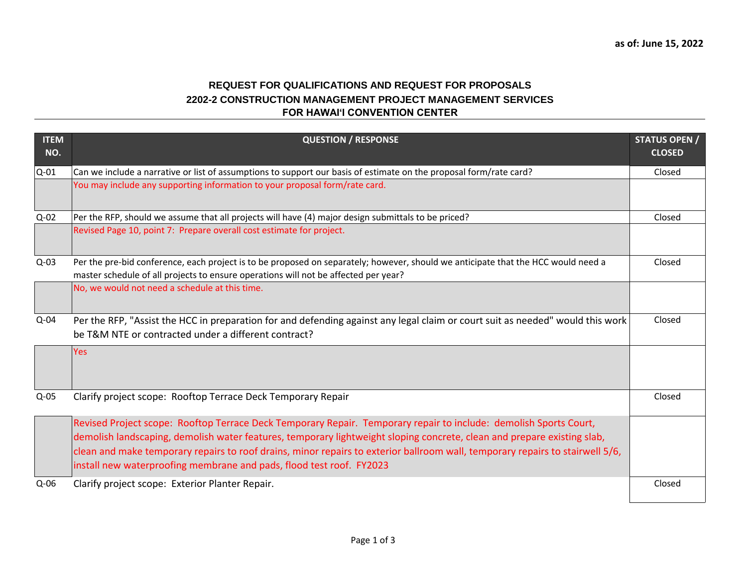## **FOR HAWAI'I CONVENTION CENTER REQUEST FOR QUALIFICATIONS AND REQUEST FOR PROPOSALS 2202-2 CONSTRUCTION MANAGEMENT PROJECT MANAGEMENT SERVICES**

| <b>ITEM</b><br>NO. | <b>QUESTION / RESPONSE</b>                                                                                                                                                                                                                                                                                                                                                                                                                            | <b>STATUS OPEN /</b><br><b>CLOSED</b> |
|--------------------|-------------------------------------------------------------------------------------------------------------------------------------------------------------------------------------------------------------------------------------------------------------------------------------------------------------------------------------------------------------------------------------------------------------------------------------------------------|---------------------------------------|
| $Q-01$             | Can we include a narrative or list of assumptions to support our basis of estimate on the proposal form/rate card?                                                                                                                                                                                                                                                                                                                                    | Closed                                |
|                    | You may include any supporting information to your proposal form/rate card.                                                                                                                                                                                                                                                                                                                                                                           |                                       |
| $Q-02$             | Per the RFP, should we assume that all projects will have (4) major design submittals to be priced?                                                                                                                                                                                                                                                                                                                                                   | Closed                                |
|                    | Revised Page 10, point 7: Prepare overall cost estimate for project.                                                                                                                                                                                                                                                                                                                                                                                  |                                       |
| $Q-03$             | Per the pre-bid conference, each project is to be proposed on separately; however, should we anticipate that the HCC would need a<br>master schedule of all projects to ensure operations will not be affected per year?                                                                                                                                                                                                                              | Closed                                |
|                    | No, we would not need a schedule at this time.                                                                                                                                                                                                                                                                                                                                                                                                        |                                       |
| $Q-04$             | Per the RFP, "Assist the HCC in preparation for and defending against any legal claim or court suit as needed" would this work<br>be T&M NTE or contracted under a different contract?                                                                                                                                                                                                                                                                | Closed                                |
|                    | <b>Yes</b>                                                                                                                                                                                                                                                                                                                                                                                                                                            |                                       |
| $Q-05$             | Clarify project scope: Rooftop Terrace Deck Temporary Repair                                                                                                                                                                                                                                                                                                                                                                                          | Closed                                |
|                    | Revised Project scope: Rooftop Terrace Deck Temporary Repair. Temporary repair to include: demolish Sports Court,<br>demolish landscaping, demolish water features, temporary lightweight sloping concrete, clean and prepare existing slab,<br>clean and make temporary repairs to roof drains, minor repairs to exterior ballroom wall, temporary repairs to stairwell 5/6,<br>install new waterproofing membrane and pads, flood test roof. FY2023 |                                       |
| $Q-06$             | Clarify project scope: Exterior Planter Repair.                                                                                                                                                                                                                                                                                                                                                                                                       | Closed                                |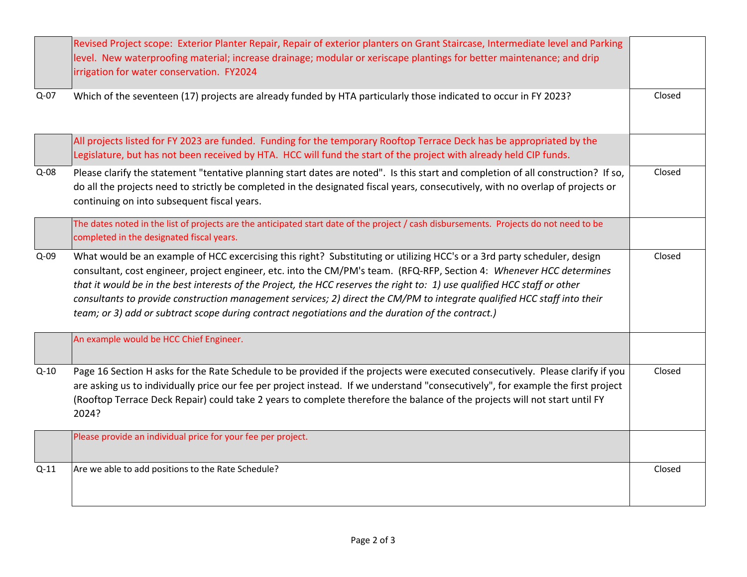|        | Revised Project scope: Exterior Planter Repair, Repair of exterior planters on Grant Staircase, Intermediate level and Parking<br>level. New waterproofing material; increase drainage; modular or xeriscape plantings for better maintenance; and drip<br>irrigation for water conservation. FY2024                                                                                                                                                                                                                                                                                                            |        |
|--------|-----------------------------------------------------------------------------------------------------------------------------------------------------------------------------------------------------------------------------------------------------------------------------------------------------------------------------------------------------------------------------------------------------------------------------------------------------------------------------------------------------------------------------------------------------------------------------------------------------------------|--------|
| $Q-07$ | Which of the seventeen (17) projects are already funded by HTA particularly those indicated to occur in FY 2023?                                                                                                                                                                                                                                                                                                                                                                                                                                                                                                | Closed |
|        | All projects listed for FY 2023 are funded. Funding for the temporary Rooftop Terrace Deck has be appropriated by the<br>Legislature, but has not been received by HTA. HCC will fund the start of the project with already held CIP funds.                                                                                                                                                                                                                                                                                                                                                                     |        |
| $Q-08$ | Please clarify the statement "tentative planning start dates are noted". Is this start and completion of all construction? If so,<br>do all the projects need to strictly be completed in the designated fiscal years, consecutively, with no overlap of projects or<br>continuing on into subsequent fiscal years.                                                                                                                                                                                                                                                                                             | Closed |
|        | The dates noted in the list of projects are the anticipated start date of the project / cash disbursements. Projects do not need to be<br>completed in the designated fiscal years.                                                                                                                                                                                                                                                                                                                                                                                                                             |        |
| $Q-09$ | What would be an example of HCC excercising this right? Substituting or utilizing HCC's or a 3rd party scheduler, design<br>consultant, cost engineer, project engineer, etc. into the CM/PM's team. (RFQ-RFP, Section 4: Whenever HCC determines<br>that it would be in the best interests of the Project, the HCC reserves the right to: 1) use qualified HCC staff or other<br>consultants to provide construction management services; 2) direct the CM/PM to integrate qualified HCC staff into their<br>team; or 3) add or subtract scope during contract negotiations and the duration of the contract.) | Closed |
|        | An example would be HCC Chief Engineer.                                                                                                                                                                                                                                                                                                                                                                                                                                                                                                                                                                         |        |
| $Q-10$ | Page 16 Section H asks for the Rate Schedule to be provided if the projects were executed consecutively. Please clarify if you<br>are asking us to individually price our fee per project instead. If we understand "consecutively", for example the first project<br>(Rooftop Terrace Deck Repair) could take 2 years to complete therefore the balance of the projects will not start until FY<br>2024?                                                                                                                                                                                                       | Closed |
|        | Please provide an individual price for your fee per project.                                                                                                                                                                                                                                                                                                                                                                                                                                                                                                                                                    |        |
| $Q-11$ | Are we able to add positions to the Rate Schedule?                                                                                                                                                                                                                                                                                                                                                                                                                                                                                                                                                              | Closed |